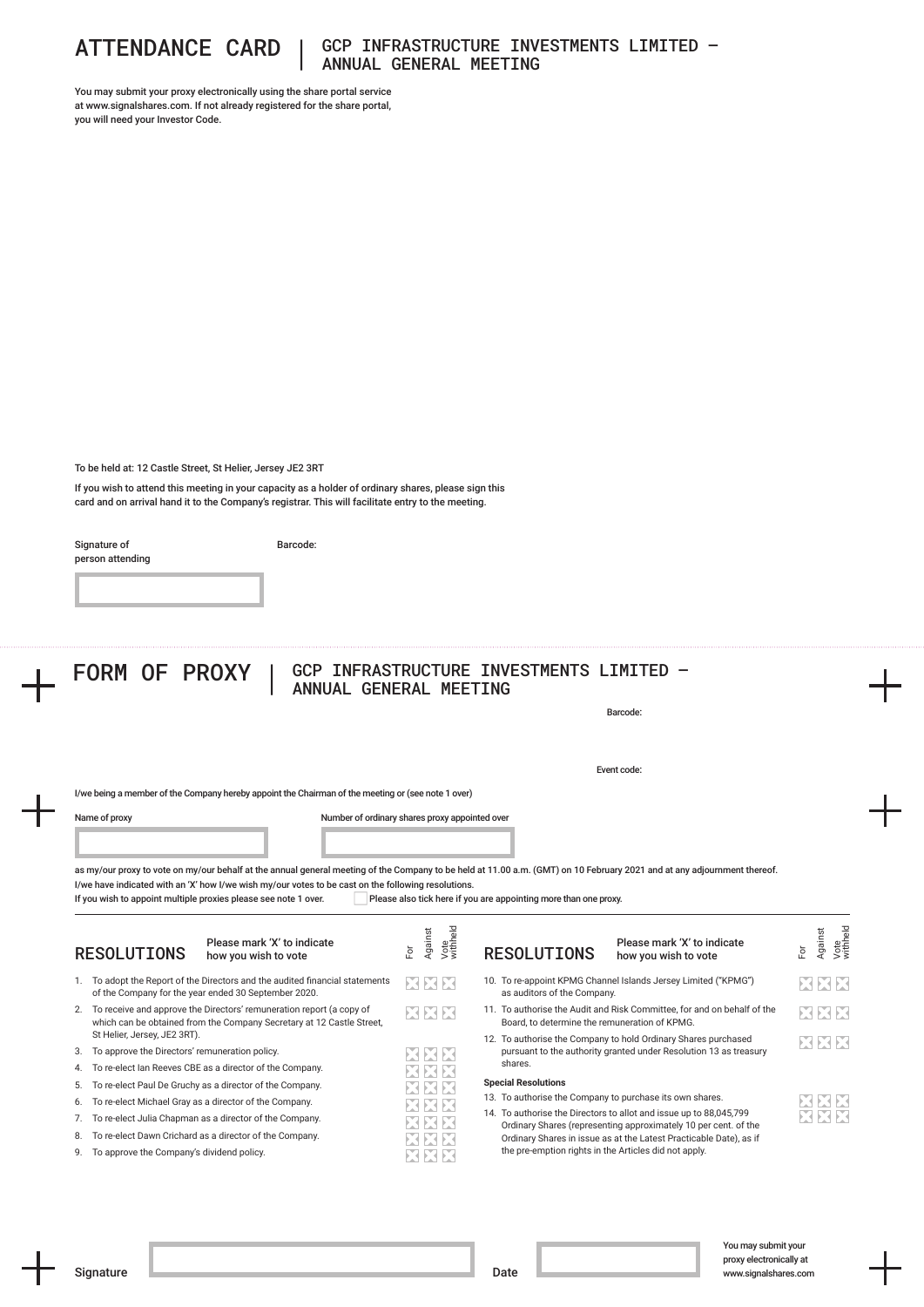

## ATTENDANCE CARD | GCP INFRASTRUCTURE INVESTMENTS LIMITED – ANNUAL GENERAL MEETING

You may submit your proxy electronically using the share portal service at www.signalshares.com. If not already registered for the share portal, you will need your Investor Code.

To be held at: 12 Castle Street, St Helier, Jersey JE2 3RT

If you wish to attend this meeting in your capacity as a holder of ordinary shares, please sign this card and on arrival hand it to the Company's registrar. This will facilitate entry to the meeting.

Signature of person attending Barcode:

|          |                                                                                                                                                  |     |                             |                                                                                        | Barcode:                                                                                                                              |                         |
|----------|--------------------------------------------------------------------------------------------------------------------------------------------------|-----|-----------------------------|----------------------------------------------------------------------------------------|---------------------------------------------------------------------------------------------------------------------------------------|-------------------------|
|          |                                                                                                                                                  |     |                             |                                                                                        | Event code:                                                                                                                           |                         |
|          | I/we being a member of the Company hereby appoint the Chairman of the meeting or (see note 1 over)                                               |     |                             |                                                                                        |                                                                                                                                       |                         |
|          | Name of proxy<br>Number of ordinary shares proxy appointed over                                                                                  |     |                             |                                                                                        |                                                                                                                                       |                         |
|          |                                                                                                                                                  |     |                             |                                                                                        |                                                                                                                                       |                         |
|          |                                                                                                                                                  |     |                             |                                                                                        |                                                                                                                                       |                         |
|          | If you wish to appoint multiple proxies please see note 1 over.                                                                                  |     |                             | Please also tick here if you are appointing more than one proxy.                       |                                                                                                                                       |                         |
|          | Please mark 'X' to indicate<br><b>RESOLUTIONS</b><br>how you wish to vote                                                                        | ă,  | Against<br>Vote<br>withheld | <b>RESOLUTIONS</b>                                                                     | Please mark 'X' to indicate<br>how you wish to vote                                                                                   | Against<br>ă            |
|          | 1. To adopt the Report of the Directors and the audited financial statements<br>of the Company for the year ended 30 September 2020.             | EEE |                             | as auditors of the Company.                                                            | 10. To re-appoint KPMG Channel Islands Jersey Limited ("KPMG")                                                                        | Vote<br>withheld<br>XXX |
|          | 2. To receive and approve the Directors' remuneration report (a copy of<br>which can be obtained from the Company Secretary at 12 Castle Street, | XXX |                             | Board, to determine the remuneration of KPMG.                                          | 11. To authorise the Audit and Risk Committee, for and on behalf of the                                                               | XXX                     |
|          | St Helier, Jersey, JE2 3RT).                                                                                                                     |     |                             |                                                                                        | 12. To authorise the Company to hold Ordinary Shares purchased                                                                        | XXX                     |
|          | To approve the Directors' remuneration policy.                                                                                                   |     |                             | shares.                                                                                | pursuant to the authority granted under Resolution 13 as treasury                                                                     |                         |
|          | To re-elect Ian Reeves CBE as a director of the Company.                                                                                         |     |                             |                                                                                        |                                                                                                                                       |                         |
| 3.<br>5. | To re-elect Paul De Gruchy as a director of the Company.                                                                                         |     |                             | <b>Special Resolutions</b><br>13. To authorise the Company to purchase its own shares. |                                                                                                                                       |                         |
| 6.       | To re-elect Michael Gray as a director of the Company.                                                                                           |     |                             |                                                                                        | 14. To authorise the Directors to allot and issue up to 88,045,799                                                                    |                         |
| 7.<br>8. | To re-elect Julia Chapman as a director of the Company.<br>To re-elect Dawn Crichard as a director of the Company.                               |     |                             |                                                                                        | Ordinary Shares (representing approximately 10 per cent. of the<br>Ordinary Shares in issue as at the Latest Practicable Date), as if |                         |